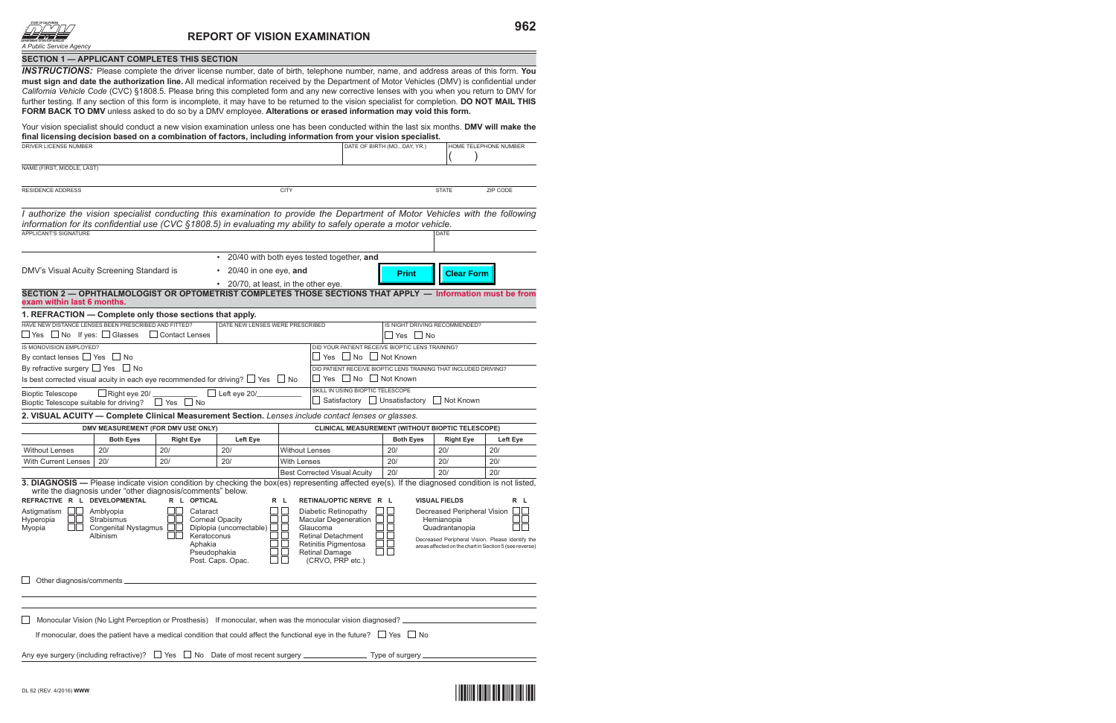

| SECTION 1 - APPLICANT COMPLETES THIS SECTION                                                                                                                                                                                                                                                                                                                                                                                                                                                                                                                                                                                                                                                                  |                                           |                                    |                                      |                       |                                                                                                                                                                                                                                                   |                                                                                                                                                                           |                      |                       |  |  |  |  |  |
|---------------------------------------------------------------------------------------------------------------------------------------------------------------------------------------------------------------------------------------------------------------------------------------------------------------------------------------------------------------------------------------------------------------------------------------------------------------------------------------------------------------------------------------------------------------------------------------------------------------------------------------------------------------------------------------------------------------|-------------------------------------------|------------------------------------|--------------------------------------|-----------------------|---------------------------------------------------------------------------------------------------------------------------------------------------------------------------------------------------------------------------------------------------|---------------------------------------------------------------------------------------------------------------------------------------------------------------------------|----------------------|-----------------------|--|--|--|--|--|
| <b>INSTRUCTIONS:</b> Please complete the driver license number, date of birth, telephone number, name, and address areas of this form. You<br>must sign and date the authorization line. All medical information received by the Department of Motor Vehicles (DMV) is confidential under<br>California Vehicle Code (CVC) §1808.5. Please bring this completed form and any new corrective lenses with you when you return to DMV for<br>further testing. If any section of this form is incomplete, it may have to be returned to the vision specialist for completion. DO NOT MAIL THIS<br>FORM BACK TO DMV unless asked to do so by a DMV employee. Alterations or erased information may void this form. |                                           |                                    |                                      |                       |                                                                                                                                                                                                                                                   |                                                                                                                                                                           |                      |                       |  |  |  |  |  |
| Your vision specialist should conduct a new vision examination unless one has been conducted within the last six months. DMV will make the<br>final licensing decision based on a combination of factors, including information from your vision specialist.                                                                                                                                                                                                                                                                                                                                                                                                                                                  |                                           |                                    |                                      |                       |                                                                                                                                                                                                                                                   |                                                                                                                                                                           |                      |                       |  |  |  |  |  |
| DRIVER LICENSE NUMBER                                                                                                                                                                                                                                                                                                                                                                                                                                                                                                                                                                                                                                                                                         |                                           |                                    |                                      |                       |                                                                                                                                                                                                                                                   | DATE OF BIRTH (MO., DAY, YR.)                                                                                                                                             |                      | HOME TELEPHONE NUMBER |  |  |  |  |  |
| NAME (FIRST, MIDDLE, LAST)                                                                                                                                                                                                                                                                                                                                                                                                                                                                                                                                                                                                                                                                                    |                                           |                                    |                                      |                       |                                                                                                                                                                                                                                                   |                                                                                                                                                                           |                      |                       |  |  |  |  |  |
|                                                                                                                                                                                                                                                                                                                                                                                                                                                                                                                                                                                                                                                                                                               |                                           |                                    |                                      |                       |                                                                                                                                                                                                                                                   |                                                                                                                                                                           |                      |                       |  |  |  |  |  |
| <b>RESIDENCE ADDRESS</b><br><b>CITY</b><br><b>STATE</b><br>ZIP CODE                                                                                                                                                                                                                                                                                                                                                                                                                                                                                                                                                                                                                                           |                                           |                                    |                                      |                       |                                                                                                                                                                                                                                                   |                                                                                                                                                                           |                      |                       |  |  |  |  |  |
| I authorize the vision specialist conducting this examination to provide the Department of Motor Vehicles with the following<br>information for its confidential use (CVC §1808.5) in evaluating my ability to safely operate a motor vehicle.<br>APPLICANT'S SIGNATURE<br>DATE                                                                                                                                                                                                                                                                                                                                                                                                                               |                                           |                                    |                                      |                       |                                                                                                                                                                                                                                                   |                                                                                                                                                                           |                      |                       |  |  |  |  |  |
| DMV's Visual Acuity Screening Standard is                                                                                                                                                                                                                                                                                                                                                                                                                                                                                                                                                                                                                                                                     | 20/40 with both eyes tested together, and | <b>Print</b>                       | <b>Clear Form</b>                    |                       |                                                                                                                                                                                                                                                   |                                                                                                                                                                           |                      |                       |  |  |  |  |  |
| SECTION 2 - OPHTHALMOLOGIST OR OPTOMETRIST COMPLETES THOSE SECTIONS THAT APPLY - Information must be from<br>exam within last 6 months.                                                                                                                                                                                                                                                                                                                                                                                                                                                                                                                                                                       |                                           |                                    | • 20/70, at least, in the other eye. |                       |                                                                                                                                                                                                                                                   |                                                                                                                                                                           |                      |                       |  |  |  |  |  |
| 1. REFRACTION - Complete only those sections that apply.                                                                                                                                                                                                                                                                                                                                                                                                                                                                                                                                                                                                                                                      |                                           |                                    |                                      |                       |                                                                                                                                                                                                                                                   |                                                                                                                                                                           |                      |                       |  |  |  |  |  |
| HAVE NEW DISTANCE LENSES BEEN PRESCRIBED AND FITTED?<br>$\Box$ Yes $\Box$ No If yes: $\Box$ Glasses                                                                                                                                                                                                                                                                                                                                                                                                                                                                                                                                                                                                           |                                           | Contact Lenses                     | DATE NEW LENSES WERE PRESCRIBED      |                       |                                                                                                                                                                                                                                                   | IS NIGHT DRIVING RECOMMENDED?<br>Yes $\Box$ No                                                                                                                            |                      |                       |  |  |  |  |  |
| IS MONOVISION EMPLOYED?                                                                                                                                                                                                                                                                                                                                                                                                                                                                                                                                                                                                                                                                                       |                                           |                                    |                                      |                       | DID YOUR PATIENT RECEIVE BIOPTIC LENS TRAINING?                                                                                                                                                                                                   |                                                                                                                                                                           |                      |                       |  |  |  |  |  |
| By contact lenses $\Box$ Yes $\Box$ No                                                                                                                                                                                                                                                                                                                                                                                                                                                                                                                                                                                                                                                                        |                                           |                                    |                                      |                       | Yes $\Box$ No $\Box$ Not Known                                                                                                                                                                                                                    |                                                                                                                                                                           |                      |                       |  |  |  |  |  |
| By refractive surgery $\Box$ Yes $\Box$ No                                                                                                                                                                                                                                                                                                                                                                                                                                                                                                                                                                                                                                                                    |                                           |                                    |                                      |                       | DID PATIENT RECEIVE BIOPTIC LENS TRAINING THAT INCLUDED DRIVING?<br>Yes<br>$\Box$ No                                                                                                                                                              | $\Box$ Not Known                                                                                                                                                          |                      |                       |  |  |  |  |  |
| Is best corrected visual acuity in each eye recommended for driving? $\Box$ Yes $\Box$ No<br>SKILL IN USING BIOPTIC TELESCOPE<br>Right eye 20/<br>Left eye 20/<br><b>Bioptic Telescope</b><br>Satisfactory □ Unsatisfactory □ Not Known<br>Bioptic Telescope suitable for driving?<br>No<br>$\Box$ Yes                                                                                                                                                                                                                                                                                                                                                                                                        |                                           |                                    |                                      |                       |                                                                                                                                                                                                                                                   |                                                                                                                                                                           |                      |                       |  |  |  |  |  |
| 2. VISUAL ACUITY - Complete Clinical Measurement Section. Lenses include contact lenses or glasses.                                                                                                                                                                                                                                                                                                                                                                                                                                                                                                                                                                                                           |                                           |                                    |                                      |                       |                                                                                                                                                                                                                                                   |                                                                                                                                                                           |                      |                       |  |  |  |  |  |
|                                                                                                                                                                                                                                                                                                                                                                                                                                                                                                                                                                                                                                                                                                               |                                           | DMV MEASUREMENT (FOR DMV USE ONLY) |                                      |                       | <b>CLINICAL MEASUREMENT (WITHOUT BIOPTIC TELESCOPE)</b>                                                                                                                                                                                           |                                                                                                                                                                           |                      |                       |  |  |  |  |  |
|                                                                                                                                                                                                                                                                                                                                                                                                                                                                                                                                                                                                                                                                                                               | <b>Both Eyes</b>                          | <b>Right Eye</b>                   | Left Eye                             |                       |                                                                                                                                                                                                                                                   | <b>Both Eyes</b>                                                                                                                                                          | <b>Right Eye</b>     | Left Eye              |  |  |  |  |  |
| <b>Without Lenses</b>                                                                                                                                                                                                                                                                                                                                                                                                                                                                                                                                                                                                                                                                                         | 20/                                       | 20/                                | 20/                                  | <b>Without Lenses</b> |                                                                                                                                                                                                                                                   | 20/                                                                                                                                                                       | 20/                  | 20/                   |  |  |  |  |  |
| With Current Lenses                                                                                                                                                                                                                                                                                                                                                                                                                                                                                                                                                                                                                                                                                           | 20/                                       | 20/                                | 20/                                  | With Lenses           | <b>Best Corrected Visual Acuity</b>                                                                                                                                                                                                               | 20/<br>20/                                                                                                                                                                | 20/<br>20/           | 20/<br>20/            |  |  |  |  |  |
| 3. DIAGNOSIS - Please indicate vision condition by checking the box(es) representing affected eye(s). If the diagnosed condition is not listed,<br>write the diagnosis under "other diagnosis/comments" below.                                                                                                                                                                                                                                                                                                                                                                                                                                                                                                |                                           |                                    |                                      |                       |                                                                                                                                                                                                                                                   |                                                                                                                                                                           |                      |                       |  |  |  |  |  |
| REFRACTIVE R L DEVELOPMENTAL                                                                                                                                                                                                                                                                                                                                                                                                                                                                                                                                                                                                                                                                                  |                                           | R L OPTICAL                        |                                      | R L                   | RETINAL/OPTIC NERVE R L                                                                                                                                                                                                                           |                                                                                                                                                                           | <b>VISUAL FIELDS</b> | R L                   |  |  |  |  |  |
| Amblyopia<br>Cataract<br>Astigmatism<br>Strabismus<br><b>Corneal Opacity</b><br>Hyperopia<br>Myopia<br><b>Congenital Nystagmus</b><br>Diplopia (uncorrectable)<br>Albinism<br>Keratoconus<br>Aphakia<br>Pseudophakia<br>Post. Caps. Opac.                                                                                                                                                                                                                                                                                                                                                                                                                                                                     |                                           |                                    |                                      |                       | Diabetic Retinopathy<br><b>Macular Degeneration</b><br>Glaucoma<br><b>Retinal Detachment</b><br>Retinitis Pigmentosa<br>Retinal Damage<br>(CRVO, PRP etc.)                                                                                        | Decreased Peripheral Vision<br>Hemianopia<br>Quadrantanopia<br>Decreased Peripheral Vision. Please identify the<br>areas affected on the chart in Section 5 (see reverse) |                      |                       |  |  |  |  |  |
|                                                                                                                                                                                                                                                                                                                                                                                                                                                                                                                                                                                                                                                                                                               |                                           |                                    |                                      |                       |                                                                                                                                                                                                                                                   |                                                                                                                                                                           |                      |                       |  |  |  |  |  |
|                                                                                                                                                                                                                                                                                                                                                                                                                                                                                                                                                                                                                                                                                                               |                                           |                                    |                                      |                       |                                                                                                                                                                                                                                                   |                                                                                                                                                                           |                      |                       |  |  |  |  |  |
|                                                                                                                                                                                                                                                                                                                                                                                                                                                                                                                                                                                                                                                                                                               |                                           |                                    |                                      |                       |                                                                                                                                                                                                                                                   |                                                                                                                                                                           |                      |                       |  |  |  |  |  |
|                                                                                                                                                                                                                                                                                                                                                                                                                                                                                                                                                                                                                                                                                                               |                                           |                                    |                                      |                       | Monocular Vision (No Light Perception or Prosthesis) If monocular, when was the monocular vision diagnosed? _<br>If monocular, does the patient have a medical condition that could affect the functional eye in the future? $\Box$ Yes $\Box$ No |                                                                                                                                                                           |                      |                       |  |  |  |  |  |
|                                                                                                                                                                                                                                                                                                                                                                                                                                                                                                                                                                                                                                                                                                               |                                           |                                    |                                      |                       | Any eye surgery (including refractive)? $\Box$ Yes $\Box$ No Date of most recent surgery $\_\_\_\_\_\_\_\_\_$ Type of surgery $\_\_\_\_\_\_\$                                                                                                     |                                                                                                                                                                           |                      |                       |  |  |  |  |  |

## \*DL62\*